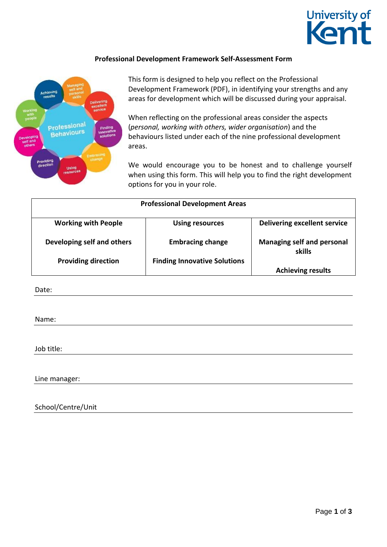

## **Professional Development Framework Self-Assessment Form**



This form is designed to help you reflect on the Professional Development Framework (PDF), in identifying your strengths and any areas for development which will be discussed during your appraisal.

When reflecting on the professional areas consider the aspects (*personal, working with others, wider organisation*) and the behaviours listed under each of the nine professional development areas.

We would encourage you to be honest and to challenge yourself when using this form. This will help you to find the right development options for you in your role.

| <b>Professional Development Areas</b> |                                     |                                             |
|---------------------------------------|-------------------------------------|---------------------------------------------|
| <b>Working with People</b>            | <b>Using resources</b>              | <b>Delivering excellent service</b>         |
| Developing self and others            | <b>Embracing change</b>             | <b>Managing self and personal</b><br>skills |
| <b>Providing direction</b>            | <b>Finding Innovative Solutions</b> |                                             |
|                                       |                                     | <b>Achieving results</b>                    |

Date:

Name:

Job title:

Line manager:

School/Centre/Unit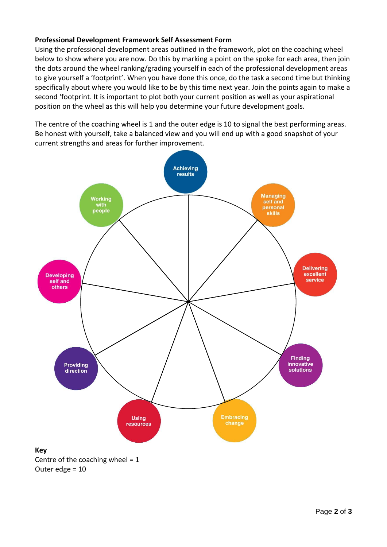## **Professional Development Framework Self Assessment Form**

Using the professional development areas outlined in the framework, plot on the coaching wheel below to show where you are now. Do this by marking a point on the spoke for each area, then join the dots around the wheel ranking/grading yourself in each of the professional development areas to give yourself a 'footprint'. When you have done this once, do the task a second time but thinking specifically about where you would like to be by this time next year. Join the points again to make a second 'footprint. It is important to plot both your current position as well as your aspirational position on the wheel as this will help you determine your future development goals.

The centre of the coaching wheel is 1 and the outer edge is 10 to signal the best performing areas. Be honest with yourself, take a balanced view and you will end up with a good snapshot of your current strengths and areas for further improvement.



Centre of the coaching wheel =  $1$ Outer edge = 10